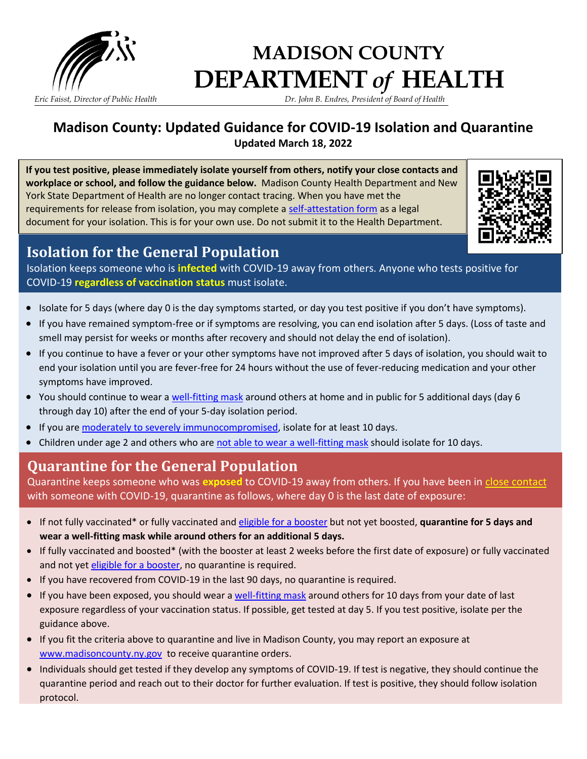

# **MADISON COUNTY DEPARTMENT** *of* **HEALTH**

*Eric Faisst, Director of Public Health Dr. John B. Endres, President of Board of Health*

### **Madison County: Updated Guidance for COVID-19 Isolation and Quarantine Updated March 18, 2022**

**If you test positive, please immediately isolate yourself from others, notify your close contacts and workplace or school, and follow the guidance below.** Madison County Health Department and New York State Department of Health are no longer contact tracing. When you have met the requirements for release from isolation, you may complete a [self-attestation form](https://coronavirus.health.ny.gov/system/files/documents/2022/01/affirmation_of_isolation_011222.pdf) as a legal document for your isolation. This is for your own use. Do not submit it to the Health Department.



### **Isolation for the General Population**

Isolation keeps someone who is **infected** with COVID-19 away from others. Anyone who tests positive for COVID-19 **regardless of vaccination status** must isolate.

- Isolate for 5 days (where day 0 is the day symptoms started, or day you test positive if you don't have symptoms).
- If you have remained symptom-free or if symptoms are resolving, you can end isolation after 5 days. (Loss of taste and smell may persist for weeks or months after recovery and should not delay the end of isolation).
- If you continue to have a fever or your other symptoms have not improved after 5 days of isolation, you should wait to end your isolation until you are fever-free for 24 hours without the use of fever-reducing medication and your other symptoms have improved.
- You should continue to wear a [well-fitting mask](https://www.cdc.gov/coronavirus/2019-ncov/your-health/effective-masks.html) around others at home and in public for 5 additional days (day 6 through day 10) after the end of your 5-day isolation period.
- If you ar[e moderately to severely immunocompromised,](https://www.cdc.gov/coronavirus/2019-ncov/vaccines/recommendations/immuno.html) isolate for at least 10 days.
- Children under age 2 and others who are [not able to wear a well-fitting mask](https://www.cdc.gov/coronavirus/2019-ncov/prevent-getting-sick/cloth-face-cover-guidance.html#anchor_1619804572732) should isolate for 10 days.

## **Quarantine for the General Population**

Quarantine keeps someone who was **exposed** to COVID-19 away from others. If you have been in [close contact](https://www.cdc.gov/coronavirus/2019-ncov/php/contact-tracing/contact-tracing-plan/appendix.html#contact) with someone with COVID-19, quarantine as follows, where day 0 is the last date of exposure:

- If not fully vaccinated\* or fully vaccinated and [eligible for a booster](https://www.cdc.gov/coronavirus/2019-ncov/vaccines/booster-shot.html) but not yet boosted, **quarantine for 5 days and wear a well-fitting mask while around others for an additional 5 days.**
- If fully vaccinated and boosted\* (with the booster at least 2 weeks before the first date of exposure) or fully vaccinated and not yet [eligible for a booster,](https://www.cdc.gov/coronavirus/2019-ncov/vaccines/booster-shot.html) no quarantine is required.
- If you have recovered from COVID-19 in the last 90 days, no quarantine is required.
- If you have been exposed, you should wear a [well-fitting mask](https://www.cdc.gov/coronavirus/2019-ncov/your-health/effective-masks.html) around others for 10 days from your date of last exposure regardless of your vaccination status. If possible, get tested at day 5. If you test positive, isolate per the guidance above.
- If you fit the criteria above to quarantine and live in Madison County, you may report an exposure at [www.madisoncounty.ny.gov](http://www.madisoncounty.ny.gov/) to receive quarantine orders.
- Individuals should get tested if they develop any symptoms of COVID-19. If test is negative, they should continue the quarantine period and reach out to their doctor for further evaluation. If test is positive, they should follow isolation protocol.